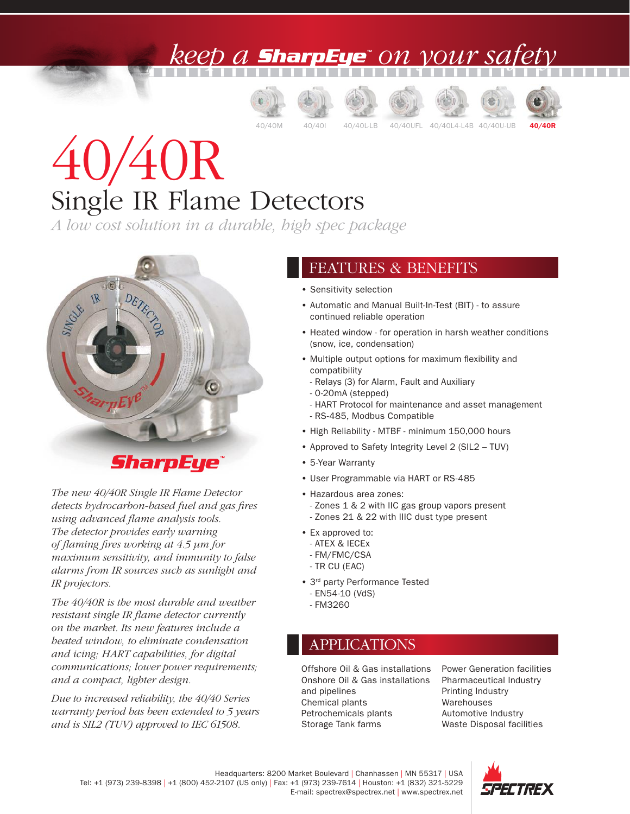## keep a **SharpEye**" on your sa<sub>l</sub>







40/40M 40/40I 40/40L-LB 40/40UFL 40/40L4-L4B 40/40U-UB





# 40/40R Single IR Flame Detectors

*A low cost solution in a durable, high spec package*



### SharpEye

*The new 40/40R Single IR Flame Detector detects hydrocarbon-based fuel and gas fires using advanced flame analysis tools. The detector provides early warning of flaming fires working at 4.5 µm for maximum sensitivity, and immunity to false alarms from IR sources such as sunlight and IR projectors.* 

*The 40/40R is the most durable and weather resistant single IR flame detector currently on the market. Its new features include a heated window, to eliminate condensation and icing; HART capabilities, for digital communications; lower power requirements; and a compact, lighter design.* 

*Due to increased reliability, the 40/40 Series warranty period has been extended to 5 years and is SIL2 (TUV) approved to IEC 61508.*

#### FEATURES & BENEFITS

- Sensitivity selection
- Automatic and Manual Built-In-Test (BIT) to assure continued reliable operation
- Heated window for operation in harsh weather conditions (snow, ice, condensation)
- Multiple output options for maximum flexibility and compatibility
	- Relays (3) for Alarm, Fault and Auxiliary
	- 0-20mA (stepped)
	- HART Protocol for maintenance and asset management
	- RS-485, Modbus Compatible
- High Reliability MTBF minimum 150,000 hours
- Approved to Safety Integrity Level 2 (SIL2 TUV)
- 5-Year Warranty
- User Programmable via HART or RS-485
- Hazardous area zones:
- Zones 1 & 2 with IIC gas group vapors present
- Zones 21 & 22 with IIIC dust type present
- Ex approved to:
- ATEX & IECEx
- FM/FMC/CSA
- TR CU (EAC)
- 3<sup>rd</sup> party Performance Tested
- EN54-10 (VdS)
- FM3260

#### APPLICATIONS

Offshore Oil & Gas installations Onshore Oil & Gas installations and pipelines Chemical plants Petrochemicals plants Storage Tank farms

Power Generation facilities Pharmaceutical Industry Printing Industry Warehouses Automotive Industry Waste Disposal facilities